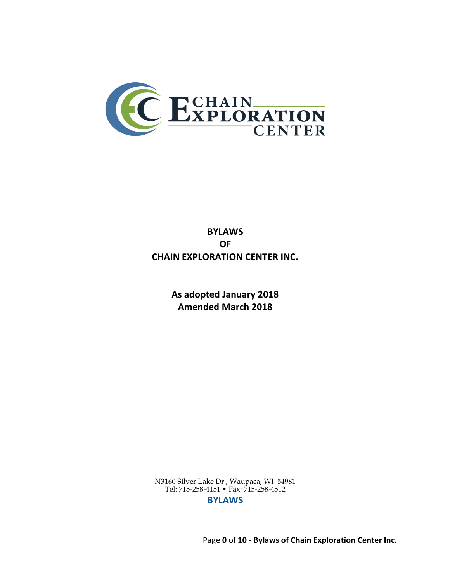

# **BYLAWS OF CHAIN EXPLORATION CENTER INC.**

**As adopted January 2018 Amended March 2018**

N3160 Silver Lake Dr., Waupaca, WI 54981 Tel: 715-258-4151 • Fax: 715-258-4512 **BYLAWS**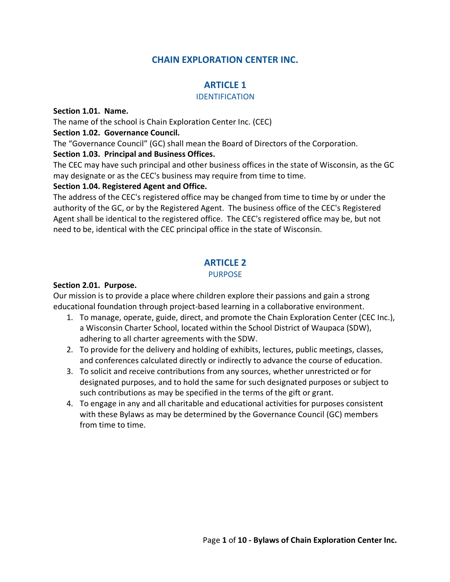# **CHAIN EXPLORATION CENTER INC.**

# **ARTICLE 1**

#### IDENTIFICATION

#### **Section 1.01. Name.**

The name of the school is Chain Exploration Center Inc. (CEC)

#### **Section 1.02. Governance Council.**

The "Governance Council" (GC) shall mean the Board of Directors of the Corporation.

### **Section 1.03. Principal and Business Offices.**

The CEC may have such principal and other business offices in the state of Wisconsin, as the GC may designate or as the CEC's business may require from time to time.

### **Section 1.04. Registered Agent and Office.**

The address of the CEC's registered office may be changed from time to time by or under the authority of the GC, or by the Registered Agent. The business office of the CEC's Registered Agent shall be identical to the registered office. The CEC's registered office may be, but not need to be, identical with the CEC principal office in the state of Wisconsin.

# **ARTICLE 2**

### PURPOSE

### **Section 2.01. Purpose.**

Our mission is to provide a place where children explore their passions and gain a strong educational foundation through project-based learning in a collaborative environment.

- 1. To manage, operate, guide, direct, and promote the Chain Exploration Center (CEC Inc.), a Wisconsin Charter School, located within the School District of Waupaca (SDW), adhering to all charter agreements with the SDW.
- 2. To provide for the delivery and holding of exhibits, lectures, public meetings, classes, and conferences calculated directly or indirectly to advance the course of education.
- 3. To solicit and receive contributions from any sources, whether unrestricted or for designated purposes, and to hold the same for such designated purposes or subject to such contributions as may be specified in the terms of the gift or grant.
- 4. To engage in any and all charitable and educational activities for purposes consistent with these Bylaws as may be determined by the Governance Council (GC) members from time to time.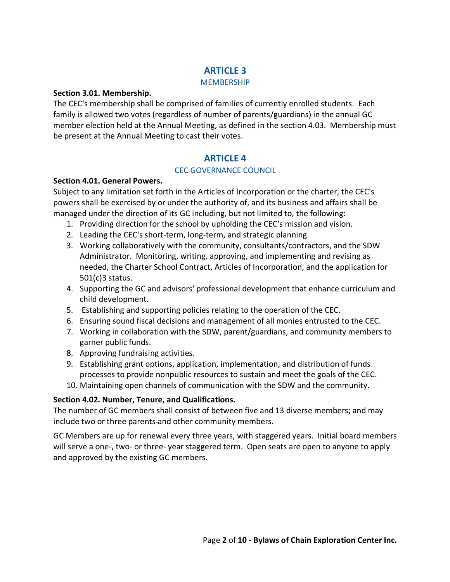# **ARTICLE 3**

#### **MEMBERSHIP**

#### **Section 3.01. Membership.**

The CEC's membership shall be comprised of families of currently enrolled students. Each family is allowed two votes (regardless of number of parents/guardians) in the annual GC member election held at the Annual Meeting, as defined in the section 4.03. Membership must be present at the Annual Meeting to cast their votes.

# **ARTICLE 4**

# CEC GOVERNANCE COUNCIL

### **Section 4.01. General Powers.**

Subject to any limitation set forth in the Articles of Incorporation or the charter, the CEC's powers shall be exercised by or under the authority of, and its business and affairs shall be managed under the direction of its GC including, but not limited to, the following:

- 1. Providing direction for the school by upholding the CEC's mission and vision.
- 2. Leading the CEC's short-term, long-term, and strategic planning.
- 3. Working collaboratively with the community, consultants/contractors, and the SDW Administrator. Monitoring, writing, approving, and implementing and revising as needed, the Charter School Contract, Articles of Incorporation, and the application for 501(c)3 status.
- 4. Supporting the GC and advisors' professional development that enhance curriculum and child development.
- 5. Establishing and supporting policies relating to the operation of the CEC.
- 6. Ensuring sound fiscal decisions and management of all monies entrusted to the CEC.
- 7. Working in collaboration with the SDW, parent/guardians, and community members to garner public funds.
- 8. Approving fundraising activities.
- 9. Establishing grant options, application, implementation, and distribution of funds processes to provide nonpublic resources to sustain and meet the goals of the CEC.
- 10. Maintaining open channels of communication with the SDW and the community.

# **Section 4.02. Number, Tenure, and Qualifications.**

The number of GC members shall consist of between five and 13 diverse members; and may include two or three parents-and other community members.

GC Members are up for renewal every three years, with staggered years. Initial board members will serve a one-, two- or three- year staggered term. Open seats are open to anyone to apply and approved by the existing GC members.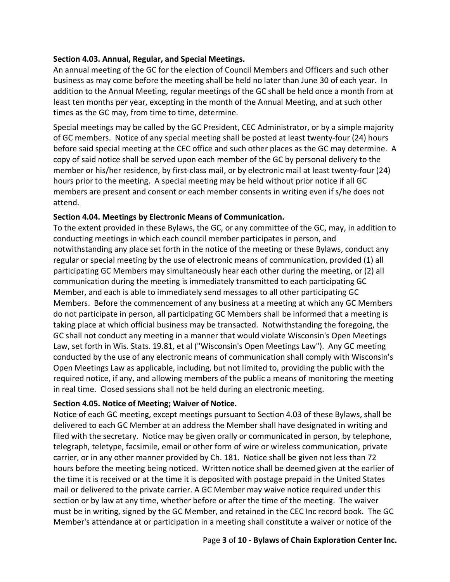#### **Section 4.03. Annual, Regular, and Special Meetings.**

An annual meeting of the GC for the election of Council Members and Officers and such other business as may come before the meeting shall be held no later than June 30 of each year. In addition to the Annual Meeting, regular meetings of the GC shall be held once a month from at least ten months per year, excepting in the month of the Annual Meeting, and at such other times as the GC may, from time to time, determine.

Special meetings may be called by the GC President, CEC Administrator, or by a simple majority of GC members. Notice of any special meeting shall be posted at least twenty-four (24) hours before said special meeting at the CEC office and such other places as the GC may determine. A copy of said notice shall be served upon each member of the GC by personal delivery to the member or his/her residence, by first-class mail, or by electronic mail at least twenty-four (24) hours prior to the meeting. A special meeting may be held without prior notice if all GC members are present and consent or each member consents in writing even if s/he does not attend.

#### **Section 4.04. Meetings by Electronic Means of Communication.**

To the extent provided in these Bylaws, the GC, or any committee of the GC, may, in addition to conducting meetings in which each council member participates in person, and notwithstanding any place set forth in the notice of the meeting or these Bylaws, conduct any regular or special meeting by the use of electronic means of communication, provided (1) all participating GC Members may simultaneously hear each other during the meeting, or (2) all communication during the meeting is immediately transmitted to each participating GC Member, and each is able to immediately send messages to all other participating GC Members. Before the commencement of any business at a meeting at which any GC Members do not participate in person, all participating GC Members shall be informed that a meeting is taking place at which official business may be transacted. Notwithstanding the foregoing, the GC shall not conduct any meeting in a manner that would violate Wisconsin's Open Meetings Law, set forth in Wis. Stats. 19.81, et al ("Wisconsin's Open Meetings Law"). Any GC meeting conducted by the use of any electronic means of communication shall comply with Wisconsin's Open Meetings Law as applicable, including, but not limited to, providing the public with the required notice, if any, and allowing members of the public a means of monitoring the meeting in real time. Closed sessions shall not be held during an electronic meeting.

#### **Section 4.05. Notice of Meeting; Waiver of Notice.**

Notice of each GC meeting, except meetings pursuant to Section 4.03 of these Bylaws, shall be delivered to each GC Member at an address the Member shall have designated in writing and filed with the secretary. Notice may be given orally or communicated in person, by telephone, telegraph, teletype, facsimile, email or other form of wire or wireless communication, private carrier, or in any other manner provided by Ch. 181. Notice shall be given not less than 72 hours before the meeting being noticed. Written notice shall be deemed given at the earlier of the time it is received or at the time it is deposited with postage prepaid in the United States mail or delivered to the private carrier. A GC Member may waive notice required under this section or by law at any time, whether before or after the time of the meeting. The waiver must be in writing, signed by the GC Member, and retained in the CEC Inc record book. The GC Member's attendance at or participation in a meeting shall constitute a waiver or notice of the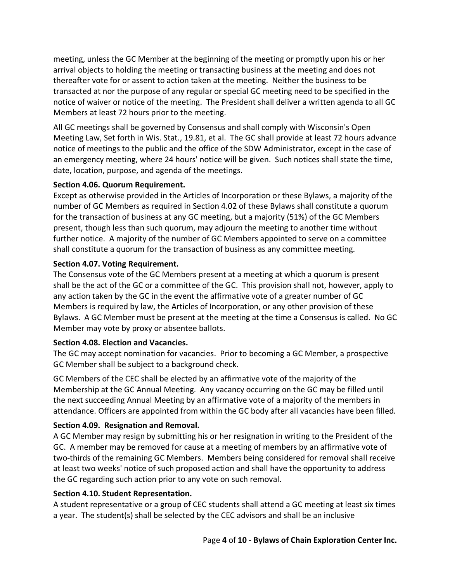meeting, unless the GC Member at the beginning of the meeting or promptly upon his or her arrival objects to holding the meeting or transacting business at the meeting and does not thereafter vote for or assent to action taken at the meeting. Neither the business to be transacted at nor the purpose of any regular or special GC meeting need to be specified in the notice of waiver or notice of the meeting. The President shall deliver a written agenda to all GC Members at least 72 hours prior to the meeting.

All GC meetings shall be governed by Consensus and shall comply with Wisconsin's Open Meeting Law, Set forth in Wis. Stat., 19.81, et al. The GC shall provide at least 72 hours advance notice of meetings to the public and the office of the SDW Administrator, except in the case of an emergency meeting, where 24 hours' notice will be given. Such notices shall state the time, date, location, purpose, and agenda of the meetings.

#### **Section 4.06. Quorum Requirement.**

Except as otherwise provided in the Articles of Incorporation or these Bylaws, a majority of the number of GC Members as required in Section 4.02 of these Bylaws shall constitute a quorum for the transaction of business at any GC meeting, but a majority (51%) of the GC Members present, though less than such quorum, may adjourn the meeting to another time without further notice. A majority of the number of GC Members appointed to serve on a committee shall constitute a quorum for the transaction of business as any committee meeting.

### **Section 4.07. Voting Requirement.**

The Consensus vote of the GC Members present at a meeting at which a quorum is present shall be the act of the GC or a committee of the GC. This provision shall not, however, apply to any action taken by the GC in the event the affirmative vote of a greater number of GC Members is required by law, the Articles of Incorporation, or any other provision of these Bylaws. A GC Member must be present at the meeting at the time a Consensus is called. No GC Member may vote by proxy or absentee ballots.

#### **Section 4.08. Election and Vacancies.**

The GC may accept nomination for vacancies. Prior to becoming a GC Member, a prospective GC Member shall be subject to a background check.

GC Members of the CEC shall be elected by an affirmative vote of the majority of the Membership at the GC Annual Meeting. Any vacancy occurring on the GC may be filled until the next succeeding Annual Meeting by an affirmative vote of a majority of the members in attendance. Officers are appointed from within the GC body after all vacancies have been filled.

# **Section 4.09. Resignation and Removal.**

A GC Member may resign by submitting his or her resignation in writing to the President of the GC. A member may be removed for cause at a meeting of members by an affirmative vote of two-thirds of the remaining GC Members. Members being considered for removal shall receive at least two weeks' notice of such proposed action and shall have the opportunity to address the GC regarding such action prior to any vote on such removal.

#### **Section 4.10. Student Representation.**

A student representative or a group of CEC students shall attend a GC meeting at least six times a year. The student(s) shall be selected by the CEC advisors and shall be an inclusive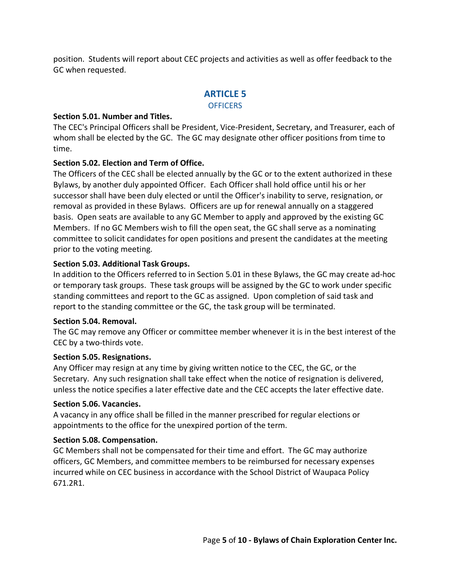position. Students will report about CEC projects and activities as well as offer feedback to the GC when requested.

# **ARTICLE 5**

#### **OFFICERS**

#### **Section 5.01. Number and Titles.**

The CEC's Principal Officers shall be President, Vice-President, Secretary, and Treasurer, each of whom shall be elected by the GC. The GC may designate other officer positions from time to time.

### **Section 5.02. Election and Term of Office.**

The Officers of the CEC shall be elected annually by the GC or to the extent authorized in these Bylaws, by another duly appointed Officer. Each Officer shall hold office until his or her successor shall have been duly elected or until the Officer's inability to serve, resignation, or removal as provided in these Bylaws. Officers are up for renewal annually on a staggered basis. Open seats are available to any GC Member to apply and approved by the existing GC Members. If no GC Members wish to fill the open seat, the GC shall serve as a nominating committee to solicit candidates for open positions and present the candidates at the meeting prior to the voting meeting.

#### **Section 5.03. Additional Task Groups.**

In addition to the Officers referred to in Section 5.01 in these Bylaws, the GC may create ad-hoc or temporary task groups. These task groups will be assigned by the GC to work under specific standing committees and report to the GC as assigned. Upon completion of said task and report to the standing committee or the GC, the task group will be terminated.

#### **Section 5.04. Removal.**

The GC may remove any Officer or committee member whenever it is in the best interest of the CEC by a two-thirds vote.

#### **Section 5.05. Resignations.**

Any Officer may resign at any time by giving written notice to the CEC, the GC, or the Secretary. Any such resignation shall take effect when the notice of resignation is delivered, unless the notice specifies a later effective date and the CEC accepts the later effective date.

#### **Section 5.06. Vacancies.**

A vacancy in any office shall be filled in the manner prescribed for regular elections or appointments to the office for the unexpired portion of the term.

#### **Section 5.08. Compensation.**

GC Members shall not be compensated for their time and effort. The GC may authorize officers, GC Members, and committee members to be reimbursed for necessary expenses incurred while on CEC business in accordance with the School District of Waupaca Policy 671.2R1.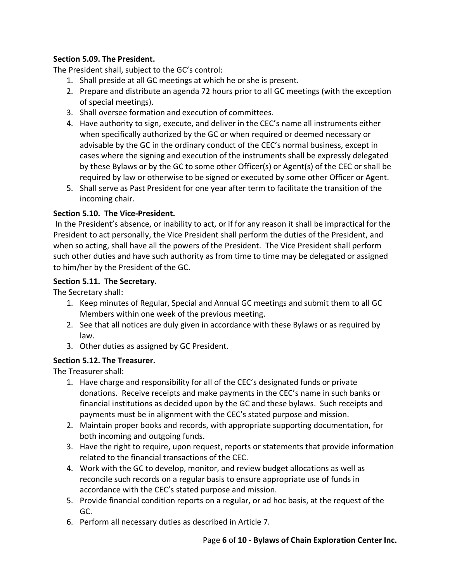# **Section 5.09. The President.**

The President shall, subject to the GC's control:

- 1. Shall preside at all GC meetings at which he or she is present.
- 2. Prepare and distribute an agenda 72 hours prior to all GC meetings (with the exception of special meetings).
- 3. Shall oversee formation and execution of committees.
- 4. Have authority to sign, execute, and deliver in the CEC's name all instruments either when specifically authorized by the GC or when required or deemed necessary or advisable by the GC in the ordinary conduct of the CEC's normal business, except in cases where the signing and execution of the instruments shall be expressly delegated by these Bylaws or by the GC to some other Officer(s) or Agent(s) of the CEC or shall be required by law or otherwise to be signed or executed by some other Officer or Agent.
- 5. Shall serve as Past President for one year after term to facilitate the transition of the incoming chair.

# **Section 5.10. The Vice-President.**

In the President's absence, or inability to act, or if for any reason it shall be impractical for the President to act personally, the Vice President shall perform the duties of the President, and when so acting, shall have all the powers of the President. The Vice President shall perform such other duties and have such authority as from time to time may be delegated or assigned to him/her by the President of the GC.

### **Section 5.11. The Secretary.**

The Secretary shall:

- 1. Keep minutes of Regular, Special and Annual GC meetings and submit them to all GC Members within one week of the previous meeting.
- 2. See that all notices are duly given in accordance with these Bylaws or as required by law.
- 3. Other duties as assigned by GC President.

# **Section 5.12. The Treasurer.**

The Treasurer shall:

- 1. Have charge and responsibility for all of the CEC's designated funds or private donations. Receive receipts and make payments in the CEC's name in such banks or financial institutions as decided upon by the GC and these bylaws. Such receipts and payments must be in alignment with the CEC's stated purpose and mission.
- 2. Maintain proper books and records, with appropriate supporting documentation, for both incoming and outgoing funds.
- 3. Have the right to require, upon request, reports or statements that provide information related to the financial transactions of the CEC.
- 4. Work with the GC to develop, monitor, and review budget allocations as well as reconcile such records on a regular basis to ensure appropriate use of funds in accordance with the CEC's stated purpose and mission.
- 5. Provide financial condition reports on a regular, or ad hoc basis, at the request of the GC.
- 6. Perform all necessary duties as described in Article 7.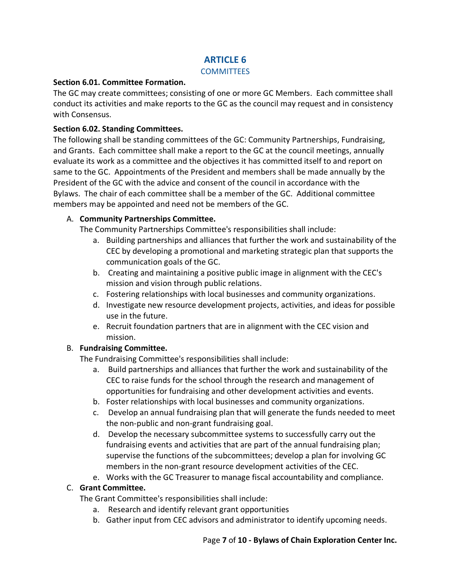# **ARTICLE 6**

#### **COMMITTEES**

#### **Section 6.01. Committee Formation.**

The GC may create committees; consisting of one or more GC Members. Each committee shall conduct its activities and make reports to the GC as the council may request and in consistency with Consensus.

### **Section 6.02. Standing Committees.**

The following shall be standing committees of the GC: Community Partnerships, Fundraising, and Grants. Each committee shall make a report to the GC at the council meetings, annually evaluate its work as a committee and the objectives it has committed itself to and report on same to the GC. Appointments of the President and members shall be made annually by the President of the GC with the advice and consent of the council in accordance with the Bylaws. The chair of each committee shall be a member of the GC. Additional committee members may be appointed and need not be members of the GC.

### A. **Community Partnerships Committee.**

The Community Partnerships Committee's responsibilities shall include:

- a. Building partnerships and alliances that further the work and sustainability of the CEC by developing a promotional and marketing strategic plan that supports the communication goals of the GC.
- b. Creating and maintaining a positive public image in alignment with the CEC's mission and vision through public relations.
- c. Fostering relationships with local businesses and community organizations.
- d. Investigate new resource development projects, activities, and ideas for possible use in the future.
- e. Recruit foundation partners that are in alignment with the CEC vision and mission.

#### B. **Fundraising Committee.**

The Fundraising Committee's responsibilities shall include:

- a. Build partnerships and alliances that further the work and sustainability of the CEC to raise funds for the school through the research and management of opportunities for fundraising and other development activities and events.
- b. Foster relationships with local businesses and community organizations.
- c. Develop an annual fundraising plan that will generate the funds needed to meet the non-public and non-grant fundraising goal.
- d. Develop the necessary subcommittee systems to successfully carry out the fundraising events and activities that are part of the annual fundraising plan; supervise the functions of the subcommittees; develop a plan for involving GC members in the non-grant resource development activities of the CEC.
- e. Works with the GC Treasurer to manage fiscal accountability and compliance.

#### C. **Grant Committee.**

The Grant Committee's responsibilities shall include:

- a. Research and identify relevant grant opportunities
- b. Gather input from CEC advisors and administrator to identify upcoming needs.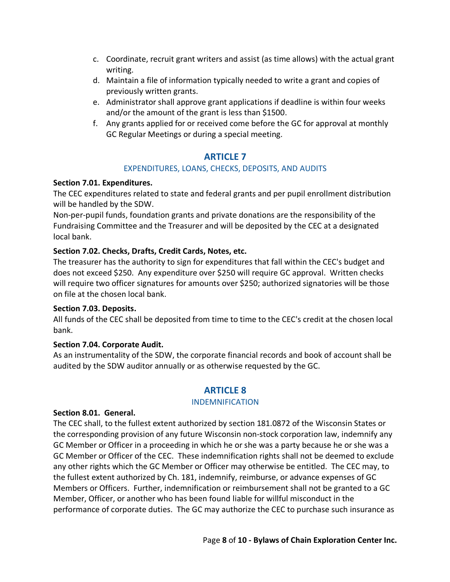- c. Coordinate, recruit grant writers and assist (as time allows) with the actual grant writing.
- d. Maintain a file of information typically needed to write a grant and copies of previously written grants.
- e. Administrator shall approve grant applications if deadline is within four weeks and/or the amount of the grant is less than \$1500.
- f. Any grants applied for or received come before the GC for approval at monthly GC Regular Meetings or during a special meeting.

# **ARTICLE 7**

### EXPENDITURES, LOANS, CHECKS, DEPOSITS, AND AUDITS

#### **Section 7.01. Expenditures.**

The CEC expenditures related to state and federal grants and per pupil enrollment distribution will be handled by the SDW.

Non-per-pupil funds, foundation grants and private donations are the responsibility of the Fundraising Committee and the Treasurer and will be deposited by the CEC at a designated local bank.

### **Section 7.02. Checks, Drafts, Credit Cards, Notes, etc.**

The treasurer has the authority to sign for expenditures that fall within the CEC's budget and does not exceed \$250. Any expenditure over \$250 will require GC approval. Written checks will require two officer signatures for amounts over \$250; authorized signatories will be those on file at the chosen local bank.

#### **Section 7.03. Deposits.**

All funds of the CEC shall be deposited from time to time to the CEC's credit at the chosen local bank.

# **Section 7.04. Corporate Audit.**

As an instrumentality of the SDW, the corporate financial records and book of account shall be audited by the SDW auditor annually or as otherwise requested by the GC.

# **ARTICLE 8**

#### INDEMNIFICATION

#### **Section 8.01. General.**

The CEC shall, to the fullest extent authorized by section 181.0872 of the Wisconsin States or the corresponding provision of any future Wisconsin non-stock corporation law, indemnify any GC Member or Officer in a proceeding in which he or she was a party because he or she was a GC Member or Officer of the CEC. These indemnification rights shall not be deemed to exclude any other rights which the GC Member or Officer may otherwise be entitled. The CEC may, to the fullest extent authorized by Ch. 181, indemnify, reimburse, or advance expenses of GC Members or Officers. Further, indemnification or reimbursement shall not be granted to a GC Member, Officer, or another who has been found liable for willful misconduct in the performance of corporate duties. The GC may authorize the CEC to purchase such insurance as